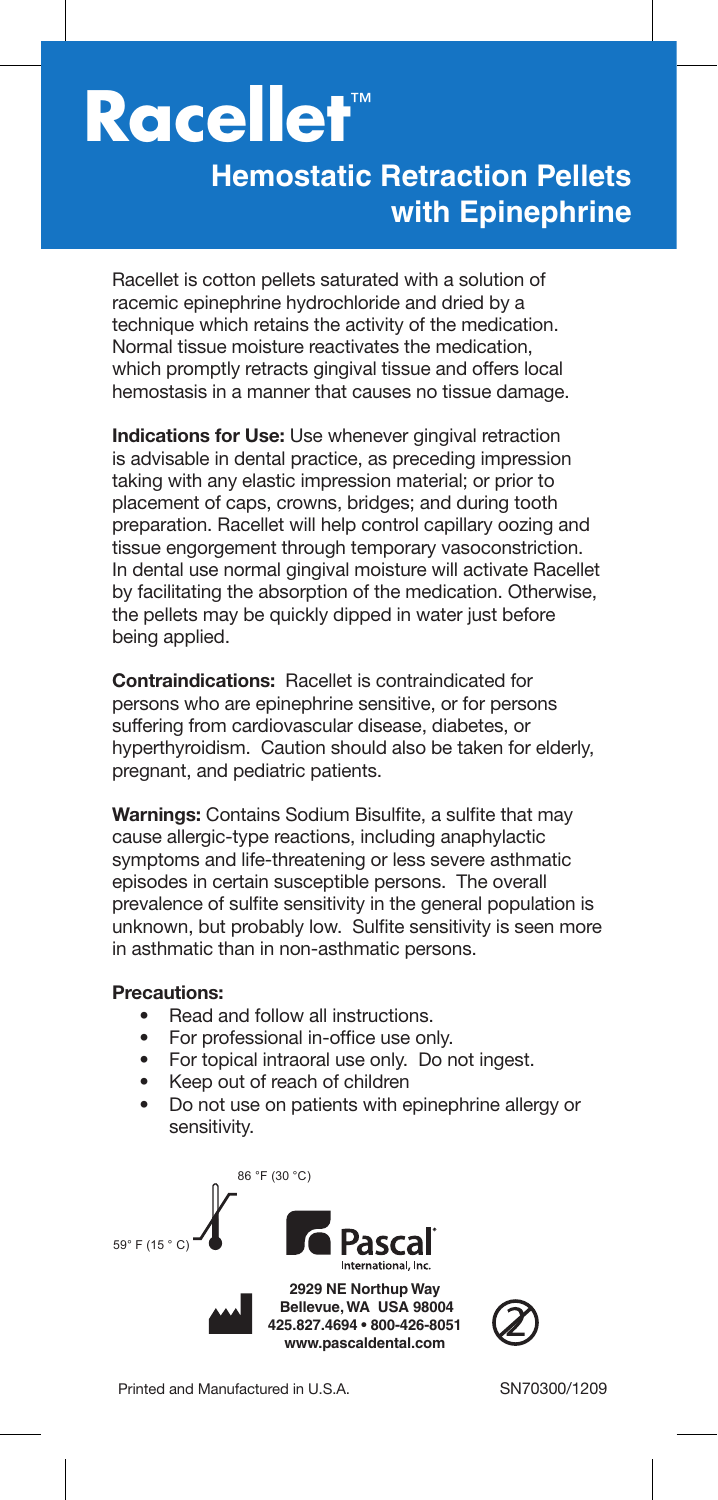## **Racellet**™

## **Hemostatic Retraction Pellets with Epinephrine**

Racellet is cotton pellets saturated with a solution of racemic epinephrine hydrochloride and dried by a technique which retains the activity of the medication. Normal tissue moisture reactivates the medication, which promptly retracts gingival tissue and offers local hemostasis in a manner that causes no tissue damage.

**Indications for Use:** Use whenever gingival retraction is advisable in dental practice, as preceding impression taking with any elastic impression material; or prior to placement of caps, crowns, bridges; and during tooth preparation. Racellet will help control capillary oozing and tissue engorgement through temporary vasoconstriction. In dental use normal gingival moisture will activate Racellet by facilitating the absorption of the medication. Otherwise, the pellets may be quickly dipped in water just before being applied.

**Contraindications:** Racellet is contraindicated for persons who are epinephrine sensitive, or for persons suffering from cardiovascular disease, diabetes, or hyperthyroidism. Caution should also be taken for elderly, pregnant, and pediatric patients.

**Warnings: Contains Sodium Bisulfite, a sulfite that may** cause allergic-type reactions, including anaphylactic symptoms and life-threatening or less severe asthmatic episodes in certain susceptible persons. The overall prevalence of sulfite sensitivity in the general population is unknown, but probably low. Sulfite sensitivity is seen more in asthmatic than in non-asthmatic persons.

## **Precautions:**

- Read and follow all instructions.
- For professional in-office use only.
- For topical intraoral use only. Do not ingest.
- Keep out of reach of children
- Do not use on patients with epinephrine allergy or sensitivity.





Printed and Manufactured in U.S.A. SN70300/1209